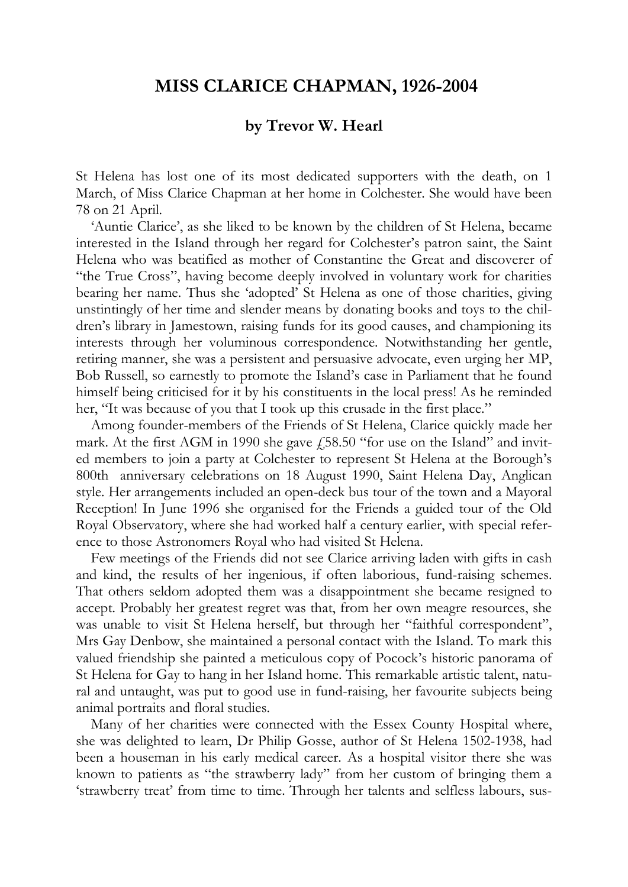## **MISS CLARICE CHAPMAN, 1926-2004**

## **by Trevor W. Hearl**

St Helena has lost one of its most dedicated supporters with the death, on 1 March, of Miss Clarice Chapman at her home in Colchester. She would have been 78 on 21 April.

'Auntie Clarice', as she liked to be known by the children of St Helena, became interested in the Island through her regard for Colchester's patron saint, the Saint Helena who was beatified as mother of Constantine the Great and discoverer of "the True Cross", having become deeply involved in voluntary work for charities bearing her name. Thus she 'adopted' St Helena as one of those charities, giving unstintingly of her time and slender means by donating books and toys to the children's library in Jamestown, raising funds for its good causes, and championing its interests through her voluminous correspondence. Notwithstanding her gentle, retiring manner, she was a persistent and persuasive advocate, even urging her MP, Bob Russell, so earnestly to promote the Island's case in Parliament that he found himself being criticised for it by his constituents in the local press! As he reminded her, "It was because of you that I took up this crusade in the first place."

Among founder-members of the Friends of St Helena, Clarice quickly made her mark. At the first AGM in 1990 she gave  $\dot{\gamma}$  58.50 "for use on the Island" and invited members to join a party at Colchester to represent St Helena at the Borough's 800th anniversary celebrations on 18 August 1990, Saint Helena Day, Anglican style. Her arrangements included an open-deck bus tour of the town and a Mayoral Reception! In June 1996 she organised for the Friends a guided tour of the Old Royal Observatory, where she had worked half a century earlier, with special reference to those Astronomers Royal who had visited St Helena.

Few meetings of the Friends did not see Clarice arriving laden with gifts in cash and kind, the results of her ingenious, if often laborious, fund-raising schemes. That others seldom adopted them was a disappointment she became resigned to accept. Probably her greatest regret was that, from her own meagre resources, she was unable to visit St Helena herself, but through her "faithful correspondent", Mrs Gay Denbow, she maintained a personal contact with the Island. To mark this valued friendship she painted a meticulous copy of Pocock's historic panorama of St Helena for Gay to hang in her Island home. This remarkable artistic talent, natural and untaught, was put to good use in fund-raising, her favourite subjects being animal portraits and floral studies.

Many of her charities were connected with the Essex County Hospital where, she was delighted to learn, Dr Philip Gosse, author of St Helena 1502-1938, had been a houseman in his early medical career. As a hospital visitor there she was known to patients as "the strawberry lady" from her custom of bringing them a 'strawberry treat' from time to time. Through her talents and selfless labours, sus